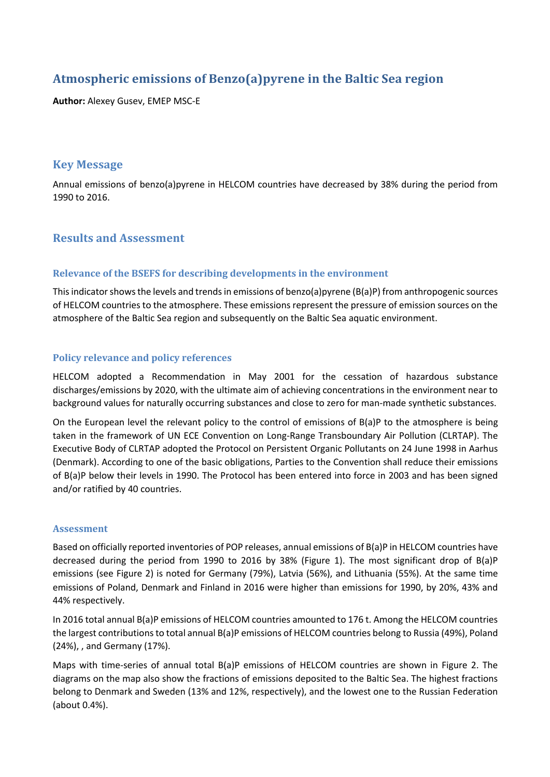# Atmospheric emissions of Benzo(a)pyrene in the Baltic Sea region

**Author:** Alexey Gusev, EMEP MSC-E

# **Key Message**

Annual emissions of benzo(a)pyrene in HELCOM countries have decreased by 38% during the period from 1990 to 2016.

# **Results and Assessment**

### **Relevance of the BSEFS for describing developments in the environment**

This indicator shows the levels and trends in emissions of benzo(a)pyrene (B(a)P) from anthropogenic sources of HELCOM countries to the atmosphere. These emissions represent the pressure of emission sources on the atmosphere of the Baltic Sea region and subsequently on the Baltic Sea aquatic environment.

## **Policy relevance and policy references**

HELCOM adopted a Recommendation in May 2001 for the cessation of hazardous substance discharges/emissions by 2020, with the ultimate aim of achieving concentrations in the environment near to background values for naturally occurring substances and close to zero for man-made synthetic substances.

On the European level the relevant policy to the control of emissions of B(a)P to the atmosphere is being taken in the framework of UN ECE Convention on Long-Range Transboundary Air Pollution (CLRTAP). The Executive Body of CLRTAP adopted the Protocol on Persistent Organic Pollutants on 24 June 1998 in Aarhus (Denmark). According to one of the basic obligations, Parties to the Convention shall reduce their emissions of B(a)P below their levels in 1990. The Protocol has been entered into force in 2003 and has been signed and/or ratified by 40 countries.

#### **Assessment**

Based on officially reported inventories of POP releases, annual emissions of B(a)P in HELCOM countries have decreased during the period from 1990 to 2016 by 38% (Figure 1). The most significant drop of B(a)P emissions (see Figure 2) is noted for Germany (79%), Latvia (56%), and Lithuania (55%). At the same time emissions of Poland, Denmark and Finland in 2016 were higher than emissions for 1990, by 20%, 43% and 44% respectively.

In 2016 total annual B(a)P emissions of HELCOM countries amounted to 176 t. Among the HELCOM countries the largest contributions to total annual B(a)P emissions of HELCOM countries belong to Russia (49%), Poland (24%), , and Germany (17%).

Maps with time-series of annual total B(a)P emissions of HELCOM countries are shown in Figure 2. The diagrams on the map also show the fractions of emissions deposited to the Baltic Sea. The highest fractions belong to Denmark and Sweden (13% and 12%, respectively), and the lowest one to the Russian Federation (about 0.4%).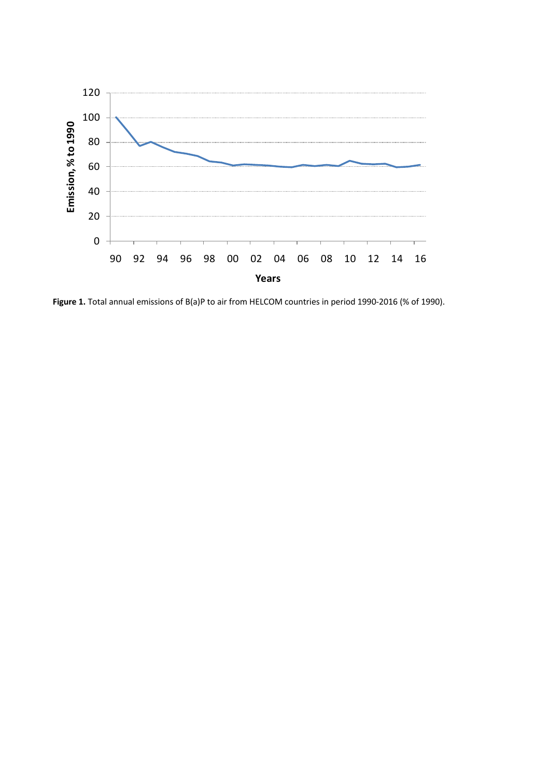

Figure 1. Total annual emissions of B(a)P to air from HELCOM countries in period 1990-2016 (% of 1990).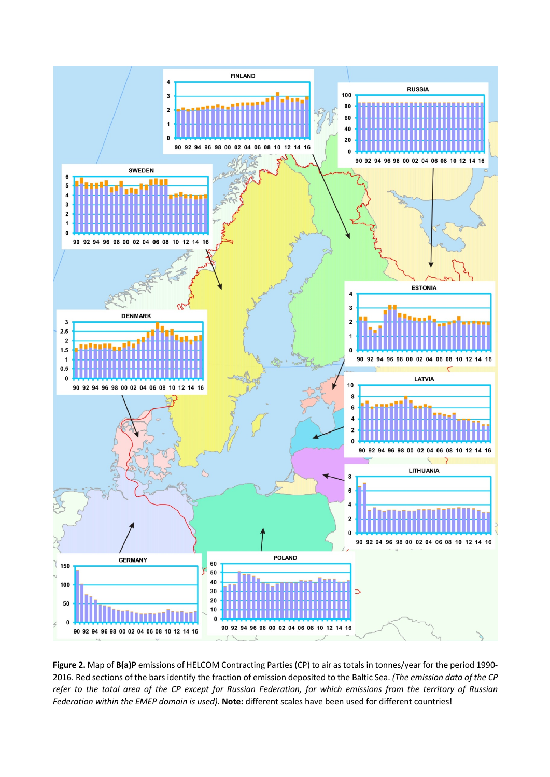

**Figure 2.** Map of **B(a)P** emissions of HELCOM Contracting Parties (CP) to air as totals in tonnes/year for the period 1990- 2016. Red sections of the bars identify the fraction of emission deposited to the Baltic Sea. *(The emission data of the CP refer to the total area of the CP except for Russian Federation, for which emissions from the territory of Russian Federation within the EMEP domain is used).* **Note:** different scales have been used for different countries!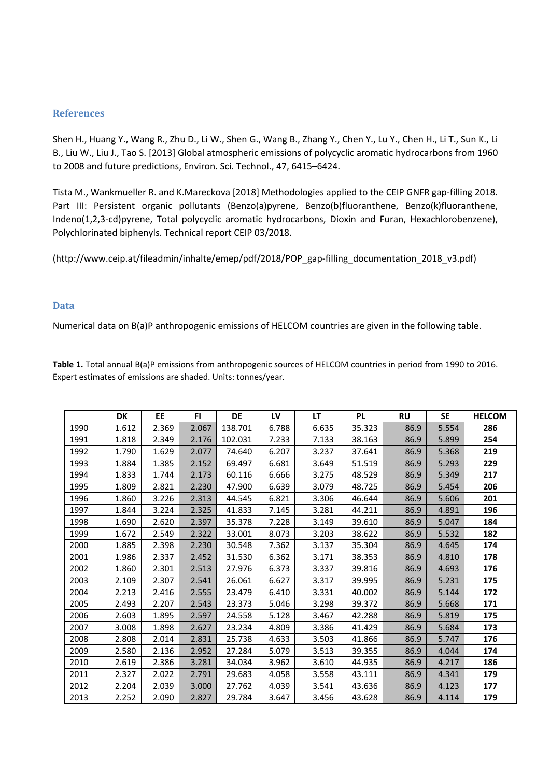#### **References**

Shen H., Huang Y., Wang R., Zhu D., Li W., Shen G., Wang B., Zhang Y., Chen Y., Lu Y., Chen H., Li T., Sun K., Li B., Liu W., Liu J., Tao S. [2013] Global atmospheric emissions of polycyclic aromatic hydrocarbons from 1960 to 2008 and future predictions, Environ. Sci. Technol., 47, 6415–6424.

Tista M., Wankmueller R. and K.Mareckova [2018] Methodologies applied to the CEIP GNFR gap-filling 2018. Part III: Persistent organic pollutants (Benzo(a)pyrene, Benzo(b)fluoranthene, Benzo(k)fluoranthene, Indeno(1,2,3-cd)pyrene, Total polycyclic aromatic hydrocarbons, Dioxin and Furan, Hexachlorobenzene), Polychlorinated biphenyls. Technical report CEIP 03/2018.

(http://www.ceip.at/fileadmin/inhalte/emep/pdf/2018/POP\_gap-filling\_documentation\_2018\_v3.pdf)

#### **Data**

Numerical data on B(a)P anthropogenic emissions of HELCOM countries are given in the following table.

**Table 1.** Total annual B(a)P emissions from anthropogenic sources of HELCOM countries in period from 1990 to 2016. Expert estimates of emissions are shaded. Units: tonnes/year.

|      | DK    | EE    | FI.   | DE      | LV    | <b>LT</b> | <b>PL</b> | <b>RU</b> | <b>SE</b> | <b>HELCOM</b> |
|------|-------|-------|-------|---------|-------|-----------|-----------|-----------|-----------|---------------|
| 1990 | 1.612 | 2.369 | 2.067 | 138.701 | 6.788 | 6.635     | 35.323    | 86.9      | 5.554     | 286           |
| 1991 | 1.818 | 2.349 | 2.176 | 102.031 | 7.233 | 7.133     | 38.163    | 86.9      | 5.899     | 254           |
| 1992 | 1.790 | 1.629 | 2.077 | 74.640  | 6.207 | 3.237     | 37.641    | 86.9      | 5.368     | 219           |
| 1993 | 1.884 | 1.385 | 2.152 | 69.497  | 6.681 | 3.649     | 51.519    | 86.9      | 5.293     | 229           |
| 1994 | 1.833 | 1.744 | 2.173 | 60.116  | 6.666 | 3.275     | 48.529    | 86.9      | 5.349     | 217           |
| 1995 | 1.809 | 2.821 | 2.230 | 47.900  | 6.639 | 3.079     | 48.725    | 86.9      | 5.454     | 206           |
| 1996 | 1.860 | 3.226 | 2.313 | 44.545  | 6.821 | 3.306     | 46.644    | 86.9      | 5.606     | 201           |
| 1997 | 1.844 | 3.224 | 2.325 | 41.833  | 7.145 | 3.281     | 44.211    | 86.9      | 4.891     | 196           |
| 1998 | 1.690 | 2.620 | 2.397 | 35.378  | 7.228 | 3.149     | 39.610    | 86.9      | 5.047     | 184           |
| 1999 | 1.672 | 2.549 | 2.322 | 33.001  | 8.073 | 3.203     | 38.622    | 86.9      | 5.532     | 182           |
| 2000 | 1.885 | 2.398 | 2.230 | 30.548  | 7.362 | 3.137     | 35.304    | 86.9      | 4.645     | 174           |
| 2001 | 1.986 | 2.337 | 2.452 | 31.530  | 6.362 | 3.171     | 38.353    | 86.9      | 4.810     | 178           |
| 2002 | 1.860 | 2.301 | 2.513 | 27.976  | 6.373 | 3.337     | 39.816    | 86.9      | 4.693     | 176           |
| 2003 | 2.109 | 2.307 | 2.541 | 26.061  | 6.627 | 3.317     | 39.995    | 86.9      | 5.231     | 175           |
| 2004 | 2.213 | 2.416 | 2.555 | 23.479  | 6.410 | 3.331     | 40.002    | 86.9      | 5.144     | 172           |
| 2005 | 2.493 | 2.207 | 2.543 | 23.373  | 5.046 | 3.298     | 39.372    | 86.9      | 5.668     | 171           |
| 2006 | 2.603 | 1.895 | 2.597 | 24.558  | 5.128 | 3.467     | 42.288    | 86.9      | 5.819     | 175           |
| 2007 | 3.008 | 1.898 | 2.627 | 23.234  | 4.809 | 3.386     | 41.429    | 86.9      | 5.684     | 173           |
| 2008 | 2.808 | 2.014 | 2.831 | 25.738  | 4.633 | 3.503     | 41.866    | 86.9      | 5.747     | 176           |
| 2009 | 2.580 | 2.136 | 2.952 | 27.284  | 5.079 | 3.513     | 39.355    | 86.9      | 4.044     | 174           |
| 2010 | 2.619 | 2.386 | 3.281 | 34.034  | 3.962 | 3.610     | 44.935    | 86.9      | 4.217     | 186           |
| 2011 | 2.327 | 2.022 | 2.791 | 29.683  | 4.058 | 3.558     | 43.111    | 86.9      | 4.341     | 179           |
| 2012 | 2.204 | 2.039 | 3.000 | 27.762  | 4.039 | 3.541     | 43.636    | 86.9      | 4.123     | 177           |
| 2013 | 2.252 | 2.090 | 2.827 | 29.784  | 3.647 | 3.456     | 43.628    | 86.9      | 4.114     | 179           |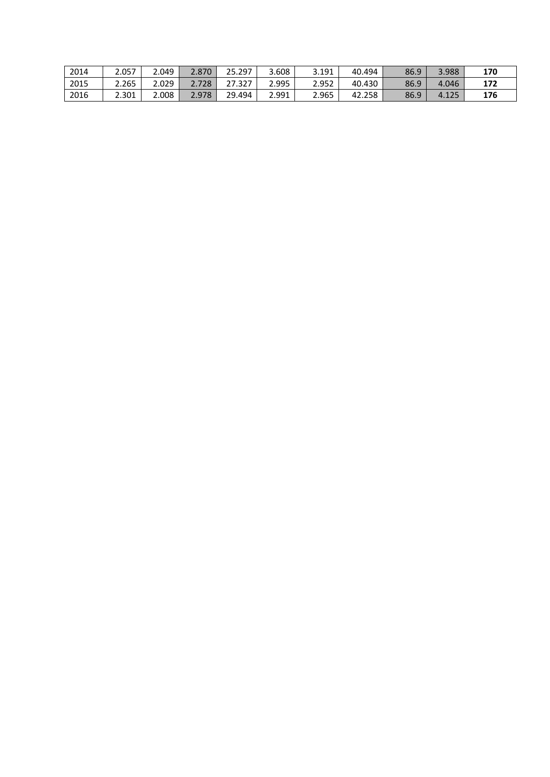| 2014 | 2.057 | 2.049 | 2.870 | 25.297 | 3.608 | 3.191 | 40.494 | 86.9 | 3.988 | 170 |
|------|-------|-------|-------|--------|-------|-------|--------|------|-------|-----|
| 2015 | 2.265 | 2.029 | 2.728 | 27.327 | 2.995 | 2.952 | 40.430 | 86.9 | 4.046 | 172 |
| 2016 | 2.301 | 2.008 | 2.978 | 29.494 | 2.991 | 2.965 | 42.258 | 86.9 | 4.125 | 176 |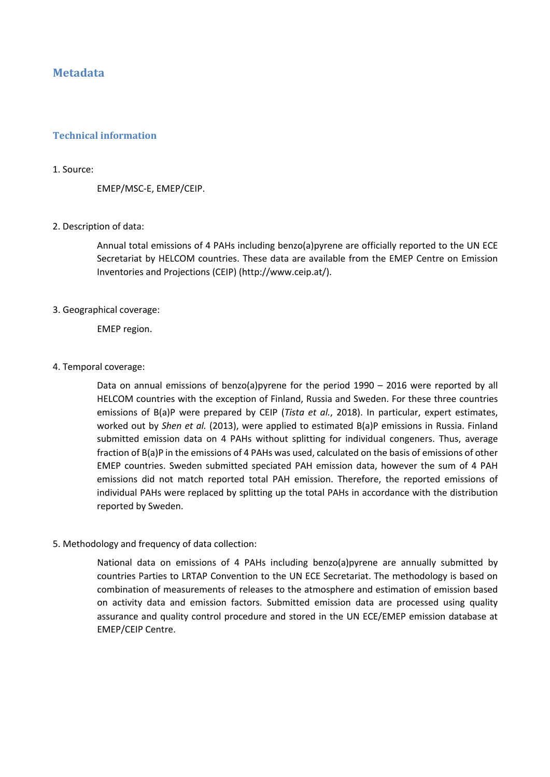# **Metadata**

#### **Technical information**

#### 1. Source:

EMEP/MSC-E, EMEP/CEIP.

#### 2. Description of data:

Annual total emissions of 4 PAHs including benzo(a)pyrene are officially reported to the UN ECE Secretariat by HELCOM countries. These data are available from the EMEP Centre on Emission Inventories and Projections (CEIP) (http://www.ceip.at/).

#### 3. Geographical coverage:

EMEP region.

#### 4. Temporal coverage:

Data on annual emissions of benzo(a)pyrene for the period 1990 – 2016 were reported by all HELCOM countries with the exception of Finland, Russia and Sweden. For these three countries emissions of B(a)P were prepared by CEIP (*Tista et al.*, 2018). In particular, expert estimates, worked out by *Shen et al.* (2013), were applied to estimated B(a)P emissions in Russia. Finland submitted emission data on 4 PAHs without splitting for individual congeners. Thus, average fraction of B(a)P in the emissions of 4 PAHs was used, calculated on the basis of emissions of other EMEP countries. Sweden submitted speciated PAH emission data, however the sum of 4 PAH emissions did not match reported total PAH emission. Therefore, the reported emissions of individual PAHs were replaced by splitting up the total PAHs in accordance with the distribution reported by Sweden.

#### 5. Methodology and frequency of data collection:

National data on emissions of 4 PAHs including benzo(a)pyrene are annually submitted by countries Parties to LRTAP Convention to the UN ECE Secretariat. The methodology is based on combination of measurements of releases to the atmosphere and estimation of emission based on activity data and emission factors. Submitted emission data are processed using quality assurance and quality control procedure and stored in the UN ECE/EMEP emission database at EMEP/CEIP Centre.